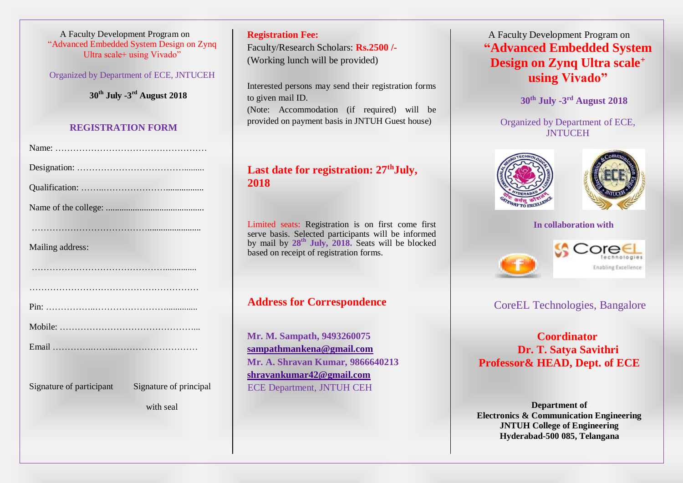A Faculty Development Program on "Advanced Embedded System Design on Zynq Ultra scale+ using Vivado"

Organized by Department of ECE, JNTUCEH

**30th July -3 rd August 2018**

#### **REGISTRATION FORM**

| Mailing address: |
|------------------|
|                  |
|                  |
|                  |
|                  |

Signature of participant Signature of principal

with seal

**Registration Fee:** Faculty/Research Scholars: **Rs.2500 /-** (Working lunch will be provided)

Interested persons may send their registration forms to given mail ID. (Note: Accommodation (if required) will be provided on payment basis in JNTUH Guest house)

# **Last date for registration: 27thJuly, 2018**

Limited seats: Registration is on first come first serve basis. Selected participants will be informed by mail by **28th July, 2018.** Seats will be blocked based on receipt of registration forms.

# **Address for Correspondence**

**Mr. M. Sampath, 9493260075 [sampathmankena@gmail.com](mailto:sampathmankena@gmail.com) Mr. A. Shravan Kumar, 9866640213 [shravankumar42@gmail.com](mailto:shravankumar42@gmail.com)** ECE Department, JNTUH CEH

# A Faculty Development Program on **"Advanced Embedded System Design on Zynq Ultra scale<sup>+</sup> using Vivado"**

**30th July -3 rd August 2018**

Organized by Department of ECE, **JNTUCEH** 





#### **In collaboration with**





## CoreEL Technologies, Bangalore

**Coordinator Dr. T. Satya Savithri Professor& HEAD, Dept. of ECE**

**Department of Electronics & Communication Engineering JNTUH College of Engineering Hyderabad-500 085, Telangana**